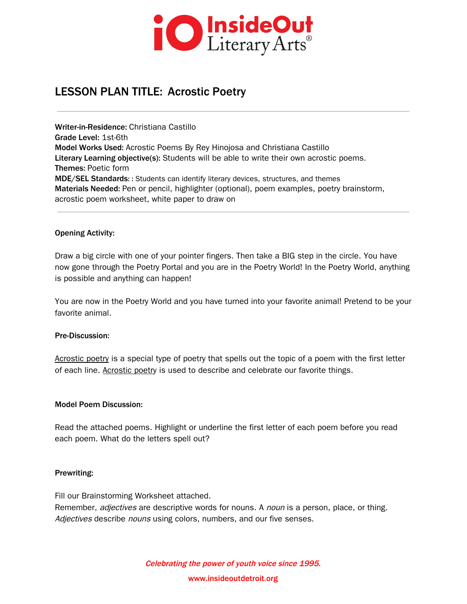

# LESSON PLAN TITLE: Acrostic Poetry

Writer-in-Residence: Christiana Castillo Grade Level: 1st-6th Model Works Used: Acrostic Poems By Rey Hinojosa and Christiana Castillo Literary Learning objective(s): Students will be able to write their own acrostic poems. Themes: Poetic form MDE/SEL Standards: : Students can identify literary devices, structures, and themes Materials Needed: Pen or pencil, highlighter (optional), poem examples, poetry brainstorm, acrostic poem worksheet, white paper to draw on

#### Opening Activity:

Draw a big circle with one of your pointer fingers. Then take a BIG step in the circle. You have now gone through the Poetry Portal and you are in the Poetry World! In the Poetry World, anything is possible and anything can happen!

You are now in the Poetry World and you have turned into your favorite animal! Pretend to be your favorite animal.

#### Pre-Discussion:

Acrostic poetry is a special type of poetry that spells out the topic of a poem with the first letter of each line. Acrostic poetry is used to describe and celebrate our favorite things.

#### Model Poem Discussion:

Read the attached poems. Highlight or underline the first letter of each poem before you read each poem. What do the letters spell out?

#### Prewriting:

Fill our Brainstorming Worksheet attached.

Remember, *adjectives* are descriptive words for nouns. A *noun* is a person, place, or thing. Adjectives describe nouns using colors, numbers, and our five senses.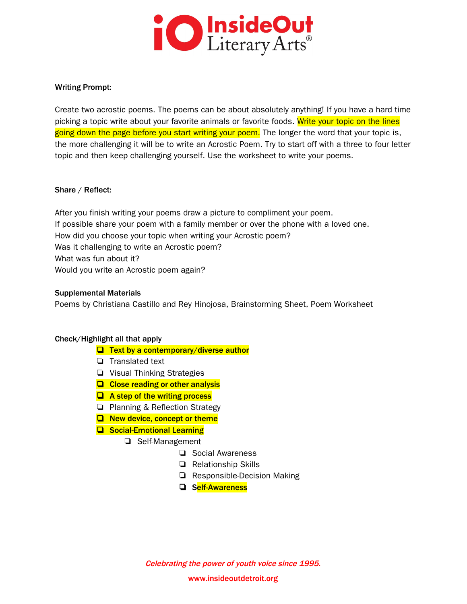

#### Writing Prompt:

Create two acrostic poems. The poems can be about absolutely anything! If you have a hard time picking a topic write about your favorite animals or favorite foods. Write your topic on the lines going down the page before you start writing your poem. The longer the word that your topic is, the more challenging it will be to write an Acrostic Poem. Try to start off with a three to four letter topic and then keep challenging yourself. Use the worksheet to write your poems.

#### Share / Reflect:

After you finish writing your poems draw a picture to compliment your poem. If possible share your poem with a family member or over the phone with a loved one. How did you choose your topic when writing your Acrostic poem? Was it challenging to write an Acrostic poem? What was fun about it? Would you write an Acrostic poem again?

#### Supplemental Materials

Poems by Christiana Castillo and Rey Hinojosa, Brainstorming Sheet, Poem Worksheet

#### Check/Highlight all that apply

- ❏ Text by a contemporary/diverse author
- ❏ Translated text
- ❏ Visual Thinking Strategies
- ❏ Close reading or other analysis
- ❏ A step of the writing process
- ❏ Planning & Reflection Strategy
- ❏ New device, concept or theme
- ❏ Social-Emotional Learning
	- ❏ Self-Management
		- ❏ Social Awareness
			- ❏ Relationship Skills
		- ❏ Responsible-Decision Making
		- ❏ Self-Awareness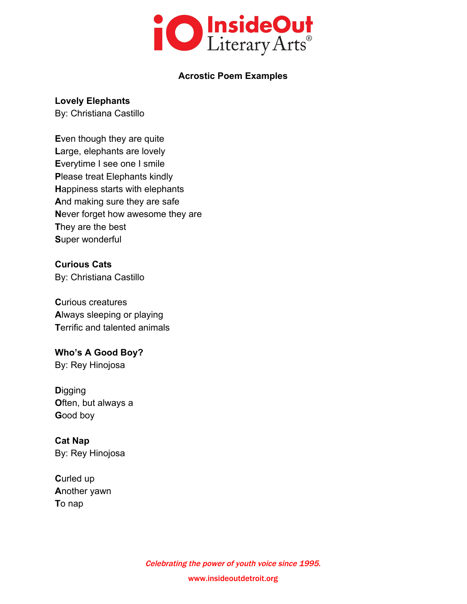

### **Acrostic Poem Examples**

### **Lovely Elephants**

By: Christiana Castillo

**E**ven though they are quite **L**arge, elephants are lovely **E**verytime I see one I smile **P**lease treat Elephants kindly **H**appiness starts with elephants **A**nd making sure they are safe **N**ever forget how awesome they are **T**hey are the best **S**uper wonderful

**Curious Cats** By: Christiana Castillo

**C**urious creatures **A**lways sleeping or playing **T**errific and talented animals

## **Who's A Good Boy?**

By: Rey Hinojosa

**D**igging **O**ften, but always a **G**ood boy

**Cat Nap** By: Rey Hinojosa

**C**urled up **A**nother yawn **T**o nap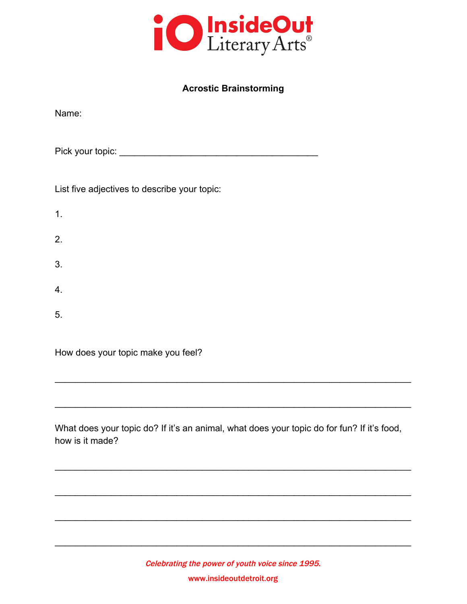

## **Acrostic Brainstorming**

| Name:                                        |
|----------------------------------------------|
|                                              |
| List five adjectives to describe your topic: |
| 1.                                           |
| 2.                                           |
| 3.                                           |
| 4.                                           |
| 5.                                           |
| How does your topic make you feel?           |

What does your topic do? If it's an animal, what does your topic do for fun? If it's food, how is it made?

\_\_\_\_\_\_\_\_\_\_\_\_\_\_\_\_\_\_\_\_\_\_\_\_\_\_\_\_\_\_\_\_\_\_\_\_\_\_\_\_\_\_\_\_\_\_\_\_\_\_\_\_\_\_\_\_\_\_\_\_\_\_\_\_\_\_\_\_\_\_

\_\_\_\_\_\_\_\_\_\_\_\_\_\_\_\_\_\_\_\_\_\_\_\_\_\_\_\_\_\_\_\_\_\_\_\_\_\_\_\_\_\_\_\_\_\_\_\_\_\_\_\_\_\_\_\_\_\_\_\_\_\_\_\_\_\_\_\_\_\_

\_\_\_\_\_\_\_\_\_\_\_\_\_\_\_\_\_\_\_\_\_\_\_\_\_\_\_\_\_\_\_\_\_\_\_\_\_\_\_\_\_\_\_\_\_\_\_\_\_\_\_\_\_\_\_\_\_\_\_\_\_\_\_\_\_\_\_\_\_\_

\_\_\_\_\_\_\_\_\_\_\_\_\_\_\_\_\_\_\_\_\_\_\_\_\_\_\_\_\_\_\_\_\_\_\_\_\_\_\_\_\_\_\_\_\_\_\_\_\_\_\_\_\_\_\_\_\_\_\_\_\_\_\_\_\_\_\_\_\_\_

\_\_\_\_\_\_\_\_\_\_\_\_\_\_\_\_\_\_\_\_\_\_\_\_\_\_\_\_\_\_\_\_\_\_\_\_\_\_\_\_\_\_\_\_\_\_\_\_\_\_\_\_\_\_\_\_\_\_\_\_\_\_\_\_\_\_\_\_\_\_

\_\_\_\_\_\_\_\_\_\_\_\_\_\_\_\_\_\_\_\_\_\_\_\_\_\_\_\_\_\_\_\_\_\_\_\_\_\_\_\_\_\_\_\_\_\_\_\_\_\_\_\_\_\_\_\_\_\_\_\_\_\_\_\_\_\_\_\_\_\_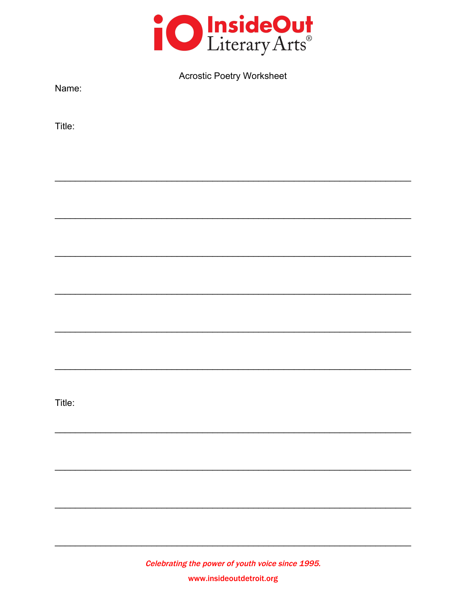

| <b>Acrostic Poetry Worksheet</b> |  |
|----------------------------------|--|
|----------------------------------|--|

Name:

Title:

Title: